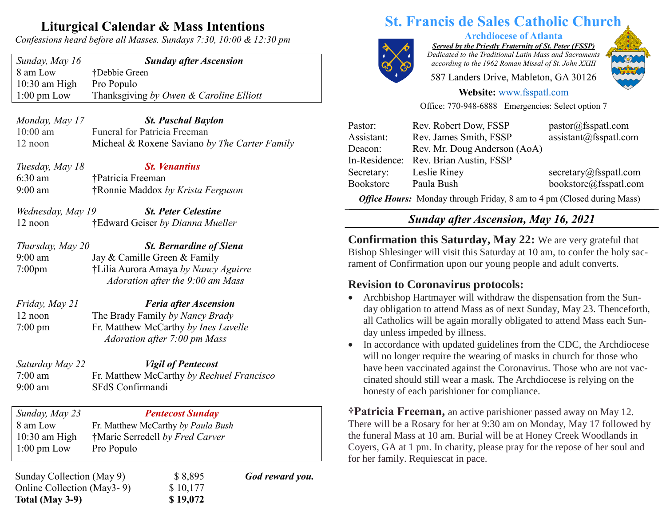## **Liturgical Calendar & Mass Intentions**

*Confessions heard before all Masses. Sundays 7:30, 10:00 & 12:30 pm*

*Sunday, May 16 Sunday after Ascension* 8 am Low †Debbie Green 10:30 am High Pro Populo 1:00 pm Low Thanksgiving *by Owen & Caroline Elliott*

*Monday, May 17 St. Paschal Baylon* 10:00 am Funeral for Patricia Freeman 12 noon Micheal & Roxene Saviano *by The Carter Family*

| Tuesday, May 18 | <b>St. Venantius</b>              |
|-----------------|-----------------------------------|
| $6:30$ am       | †Patricia Freeman                 |
| $9:00$ am       | †Ronnie Maddox by Krista Ferguson |

- *Wednesday, May 19 St. Peter Celestine* 12 noon †Edward Geiser *by Dianna Mueller*
- *Thursday, May 20 St. Bernardine of Siena* 9:00 am Jay & Camille Green & Family 7:00pm †Lilia Aurora Amaya *by Nancy Aguirre Adoration after the 9:00 am Mass*
- *Friday, May 21 Feria after Ascension* 12 noon The Brady Family *by Nancy Brady* 7:00 pm Fr. Matthew McCarthy *by Ines Lavelle Adoration after 7:00 pm Mass*

*Saturday May 22 Vigil of Pentecost* 7:00 am Fr. Matthew McCarthy *by Rechuel Francisco* 9:00 am SFdS Confirmandi

*Sunday, May 23 Pentecost Sunday* 8 am Low Fr. Matthew McCarthy *by Paula Bush* 10:30 am High †Marie Serredell *by Fred Carver* 1:00 pm Low Pro Populo

Sunday Collection (May 9)  $$ 8,895$  God reward you. Online Collection (May 3 - 9) \$ 10,177 **Total (May 3-9) \$ 19,072**

# **St. Francis de Sales Catholic Church**

**Archdiocese of Atlanta** *Served by the Priestly Fraternity of St. Peter (FSSP)*

*Dedicated to the Traditional Latin Mass and Sacraments according to the 1962 Roman Missal of St. John XXIII*

587 Landers Drive, Mableton, GA 30126



#### **Website:** [www.fsspatl.com](http://www.fsspatl.com/)

Office: 770-948-6888 Emergencies: Select option 7

| Pastor:    | Rev. Robert Dow, FSSP                 | pastor@fsspath.com     |
|------------|---------------------------------------|------------------------|
| Assistant: | Rev. James Smith, FSSP                | assignment@fsspath.com |
| Deacon:    | Rev. Mr. Doug Anderson (AoA)          |                        |
|            | In-Residence: Rev. Brian Austin, FSSP |                        |
| Secretary: | Leslie Riney                          | secretary@fsspatl.com  |
| Bookstore  | Paula Bush                            | bookstore@fsspatl.com  |
|            |                                       |                        |

*Office Hours:* Monday through Friday, 8 am to 4 pm (Closed during Mass) **\_\_\_\_\_\_\_\_\_\_\_\_\_\_\_\_\_\_\_\_\_\_\_\_\_\_\_\_\_\_\_\_\_\_\_\_\_\_\_\_\_\_\_\_\_\_\_\_\_\_\_\_\_\_\_\_\_\_\_\_\_\_\_\_\_\_\_\_\_\_\_\_\_\_\_\_\_\_\_\_\_\_\_\_\_\_\_\_\_\_\_\_\_\_\_\_\_\_\_\_\_\_\_\_\_\_\_\_\_\_\_\_\_\_\_\_\_\_\_\_\_**

#### *Sunday after Ascension, May 16, 2021* **\_\_\_\_\_\_\_\_\_\_\_\_\_\_\_\_\_\_\_\_\_\_\_\_\_\_\_\_\_\_\_\_\_\_\_\_\_\_\_\_\_\_\_\_\_\_\_\_\_\_\_\_\_ \_\_\_\_\_\_\_\_\_\_\_\_\_\_\_\_\_\_\_\_\_\_\_\_\_\_\_\_\_\_\_\_\_\_\_\_\_\_\_\_\_\_\_\_\_\_\_\_\_\_\_\_\_ \_\_\_\_\_\_\_\_\_\_\_\_\_\_\_**

**Confirmation this Saturday, May 22:** We are very grateful that Bishop Shlesinger will visit this Saturday at 10 am, to confer the holy sacrament of Confirmation upon our young people and adult converts.

#### **Revision to Coronavirus protocols:**

- Archbishop Hartmayer will withdraw the dispensation from the Sunday obligation to attend Mass as of next Sunday, May 23. Thenceforth, all Catholics will be again morally obligated to attend Mass each Sunday unless impeded by illness.
- In accordance with updated guidelines from the CDC, the Archdiocese will no longer require the wearing of masks in church for those who have been vaccinated against the Coronavirus. Those who are not vaccinated should still wear a mask. The Archdiocese is relying on the honesty of each parishioner for compliance.

**†Patricia Freeman,** an active parishioner passed away on May 12. There will be a Rosary for her at 9:30 am on Monday, May 17 followed by the funeral Mass at 10 am. Burial will be at Honey Creek Woodlands in Coyers, GA at 1 pm. In charity, please pray for the repose of her soul and for her family. Requiescat in pace.